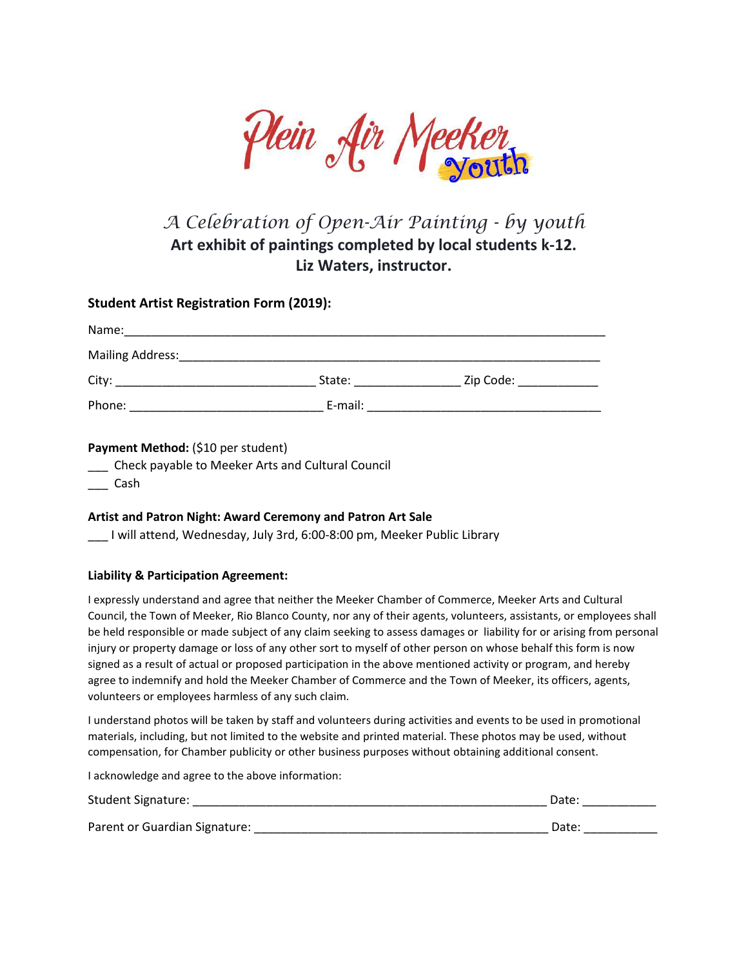

## *A Celebration of Open-Air Painting - by youth* **Art exhibit of paintings completed by local students k-12. Liz Waters, instructor.**

### **Student Artist Registration Form (2019):**

| Name:            |         |           |
|------------------|---------|-----------|
| Mailing Address: |         |           |
| City:            | State:  | Zip Code: |
| Phone:           | E-mail: |           |

#### **Payment Method:** (\$10 per student)

\_\_\_ Check payable to Meeker Arts and Cultural Council

\_\_\_ Cash

#### **Artist and Patron Night: Award Ceremony and Patron Art Sale**

\_\_\_ I will attend, Wednesday, July 3rd, 6:00-8:00 pm, Meeker Public Library

#### **Liability & Participation Agreement:**

I expressly understand and agree that neither the Meeker Chamber of Commerce, Meeker Arts and Cultural Council, the Town of Meeker, Rio Blanco County, nor any of their agents, volunteers, assistants, or employees shall be held responsible or made subject of any claim seeking to assess damages or liability for or arising from personal injury or property damage or loss of any other sort to myself of other person on whose behalf this form is now signed as a result of actual or proposed participation in the above mentioned activity or program, and hereby agree to indemnify and hold the Meeker Chamber of Commerce and the Town of Meeker, its officers, agents, volunteers or employees harmless of any such claim.

I understand photos will be taken by staff and volunteers during activities and events to be used in promotional materials, including, but not limited to the website and printed material. These photos may be used, without compensation, for Chamber publicity or other business purposes without obtaining additional consent.

I acknowledge and agree to the above information:

| <b>Student Signature:</b>     | Date: |
|-------------------------------|-------|
| Parent or Guardian Signature: | Date: |